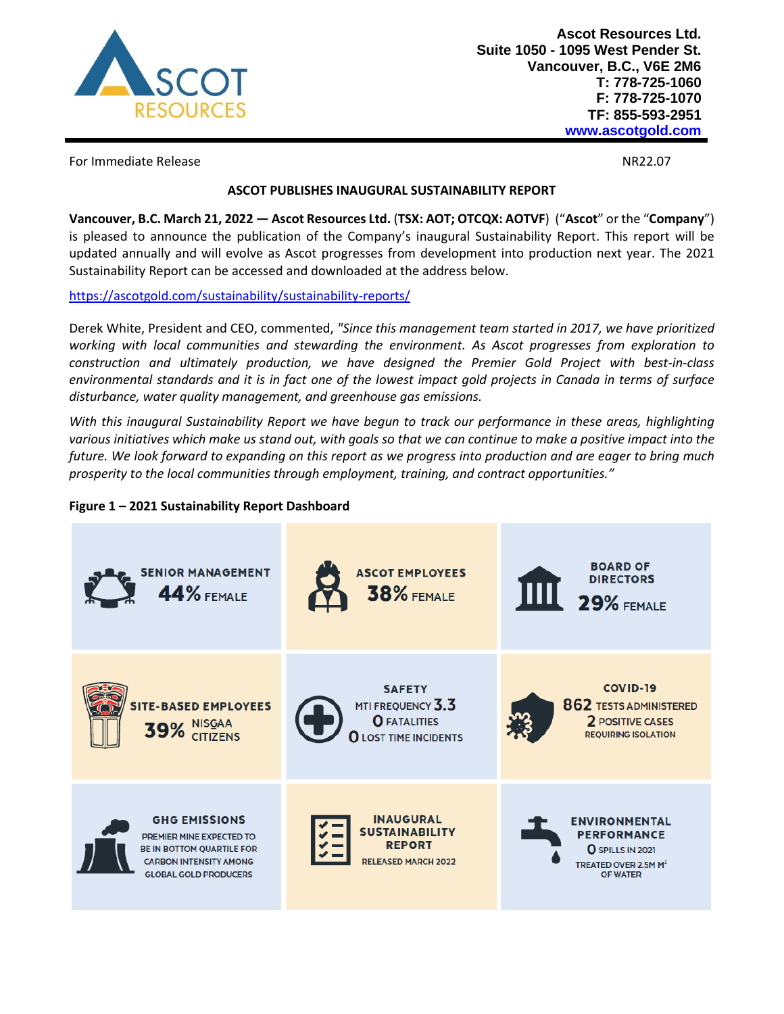

For Immediate Release NR22.07

# **ASCOT PUBLISHES INAUGURAL SUSTAINABILITY REPORT**

**Vancouver, B.C. March 21, 2022 — Ascot Resources Ltd.** (**TSX: AOT; OTCQX: AOTVF**) ("**Ascot**" or the "**Company**") is pleased to announce the publication of the Company's inaugural Sustainability Report. This report will be updated annually and will evolve as Ascot progresses from development into production next year. The 2021 Sustainability Report can be accessed and downloaded at the address below.

<https://ascotgold.com/sustainability/sustainability-reports/>

Derek White, President and CEO, commented, *"Since this management team started in 2017, we have prioritized working with local communities and stewarding the environment. As Ascot progresses from exploration to construction and ultimately production, we have designed the Premier Gold Project with best-in-class environmental standards and it is in fact one of the lowest impact gold projects in Canada in terms of surface disturbance, water quality management, and greenhouse gas emissions.*

*With this inaugural Sustainability Report we have begun to track our performance in these areas, highlighting various initiatives which make us stand out, with goals so that we can continue to make a positive impact into the future. We look forward to expanding on this report as we progress into production and are eager to bring much prosperity to the local communities through employment, training, and contract opportunities."*

# **Figure 1 – 2021 Sustainability Report Dashboard**

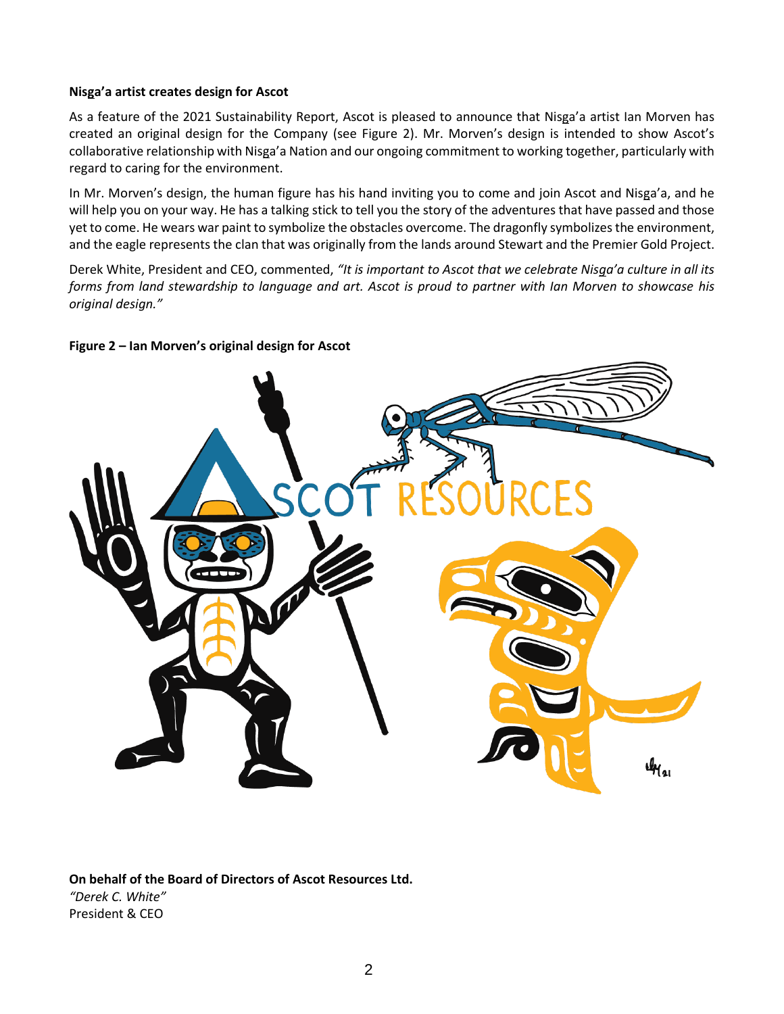### **Nisga'a artist creates design for Ascot**

As a feature of the 2021 Sustainability Report, Ascot is pleased to announce that Nisga'a artist Ian Morven has created an original design for the Company (see Figure 2). Mr. Morven's design is intended to show Ascot's collaborative relationship with Nisga'a Nation and our ongoing commitment to working together, particularly with regard to caring for the environment.

In Mr. Morven's design, the human figure has his hand inviting you to come and join Ascot and Nisga'a, and he will help you on your way. He has a talking stick to tell you the story of the adventures that have passed and those yet to come. He wears war paint to symbolize the obstacles overcome. The dragonfly symbolizes the environment, and the eagle represents the clan that was originally from the lands around Stewart and the Premier Gold Project.

Derek White, President and CEO, commented, *"It is important to Ascot that we celebrate Nisga'a culture in all its forms from land stewardship to language and art. Ascot is proud to partner with Ian Morven to showcase his original design."*

# **Figure 2 – Ian Morven's original design for Ascot**



**On behalf of the Board of Directors of Ascot Resources Ltd.** *"Derek C. White"* President & CEO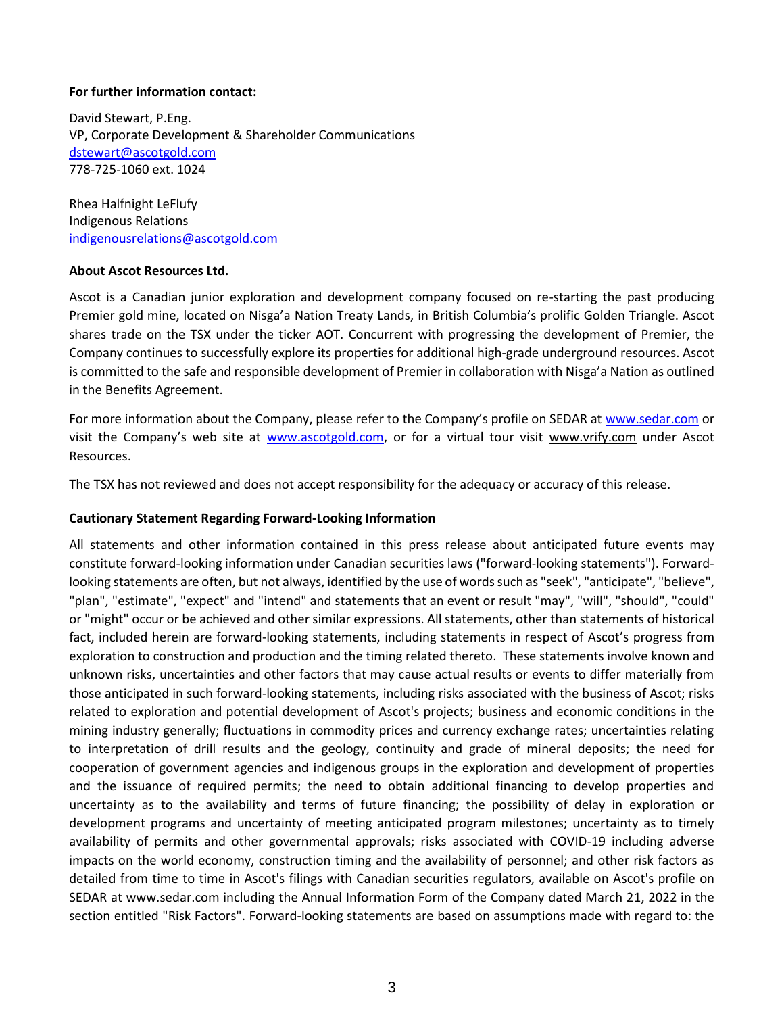#### **For further information contact:**

David Stewart, P.Eng. VP, Corporate Development & Shareholder Communications [dstewart@ascotgold.com](mailto:dstewart@ascotgold.com) 778-725-1060 ext. 1024

Rhea Halfnight LeFlufy Indigenous Relations [indigenousrelations@ascotgold.com](mailto:indigenousrelations@ascotgold.com)

#### **About Ascot Resources Ltd.**

Ascot is a Canadian junior exploration and development company focused on re-starting the past producing Premier gold mine, located on Nisga'a Nation Treaty Lands, in British Columbia's prolific Golden Triangle. Ascot shares trade on the TSX under the ticker AOT. Concurrent with progressing the development of Premier, the Company continues to successfully explore its properties for additional high-grade underground resources. Ascot is committed to the safe and responsible development of Premier in collaboration with Nisga'a Nation as outlined in the Benefits Agreement.

For more information about the Company, please refer to the Company's profile on SEDAR at www.sedar.com or visit the Company's web site at www.ascotgold.com, or for a virtual tour visit www.vrify.com under Ascot Resources.

The TSX has not reviewed and does not accept responsibility for the adequacy or accuracy of this release.

### **Cautionary Statement Regarding Forward-Looking Information**

All statements and other information contained in this press release about anticipated future events may constitute forward-looking information under Canadian securities laws ("forward-looking statements"). Forwardlooking statements are often, but not always, identified by the use of words such as "seek", "anticipate", "believe", "plan", "estimate", "expect" and "intend" and statements that an event or result "may", "will", "should", "could" or "might" occur or be achieved and other similar expressions. All statements, other than statements of historical fact, included herein are forward-looking statements, including statements in respect of Ascot's progress from exploration to construction and production and the timing related thereto. These statements involve known and unknown risks, uncertainties and other factors that may cause actual results or events to differ materially from those anticipated in such forward-looking statements, including risks associated with the business of Ascot; risks related to exploration and potential development of Ascot's projects; business and economic conditions in the mining industry generally; fluctuations in commodity prices and currency exchange rates; uncertainties relating to interpretation of drill results and the geology, continuity and grade of mineral deposits; the need for cooperation of government agencies and indigenous groups in the exploration and development of properties and the issuance of required permits; the need to obtain additional financing to develop properties and uncertainty as to the availability and terms of future financing; the possibility of delay in exploration or development programs and uncertainty of meeting anticipated program milestones; uncertainty as to timely availability of permits and other governmental approvals; risks associated with COVID-19 including adverse impacts on the world economy, construction timing and the availability of personnel; and other risk factors as detailed from time to time in Ascot's filings with Canadian securities regulators, available on Ascot's profile on SEDAR at www.sedar.com including the Annual Information Form of the Company dated March 21, 2022 in the section entitled "Risk Factors". Forward-looking statements are based on assumptions made with regard to: the